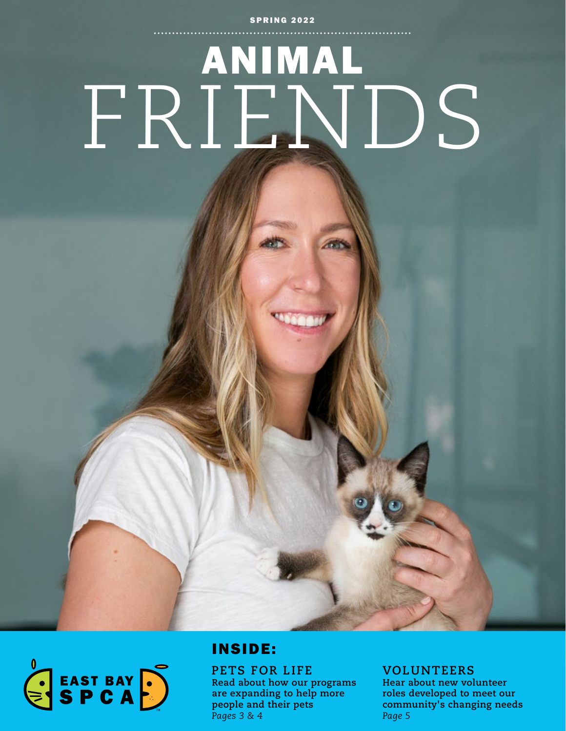#### **SPRING 2022**

# ANIMAL FRIENDS



## INSIDE:

**PETS FOR LIFE Read about how our programs are expanding to help more people and their pets** *Pages 3 & 4*

### **VOLUNTEERS**

**Hear about new volunteer roles developed to meet our community's changing needs** *Page 5*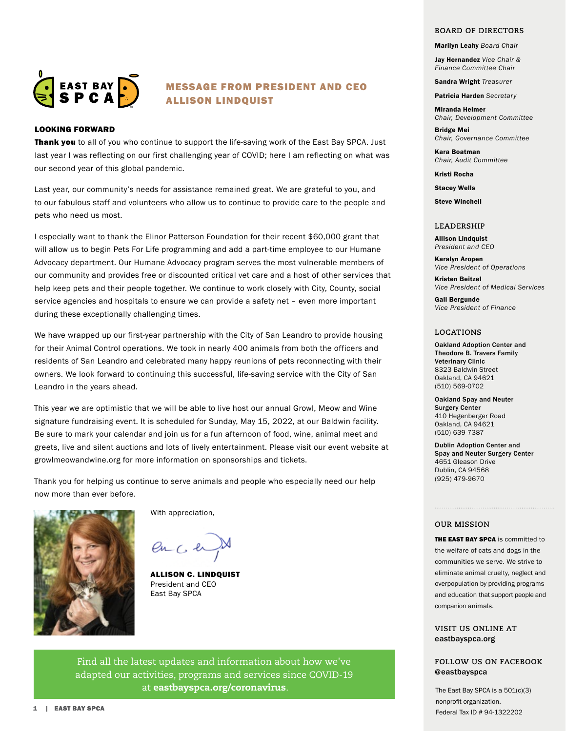

#### MESSAGE FROM PRESIDENT AND CEO ALLISON LINDQUIST

#### LOOKING FORWARD

Thank you to all of you who continue to support the life-saving work of the East Bay SPCA. Just last year I was reflecting on our first challenging year of COVID; here I am reflecting on what was our second year of this global pandemic.

Last year, our community's needs for assistance remained great. We are grateful to you, and to our fabulous staff and volunteers who allow us to continue to provide care to the people and pets who need us most.

I especially want to thank the Elinor Patterson Foundation for their recent \$60,000 grant that will allow us to begin Pets For Life programming and add a part-time employee to our Humane Advocacy department. Our Humane Advocacy program serves the most vulnerable members of our community and provides free or discounted critical vet care and a host of other services that help keep pets and their people together. We continue to work closely with City, County, social service agencies and hospitals to ensure we can provide a safety net – even more important during these exceptionally challenging times.

We have wrapped up our first-year partnership with the City of San Leandro to provide housing for their Animal Control operations. We took in nearly 400 animals from both the officers and residents of San Leandro and celebrated many happy reunions of pets reconnecting with their owners. We look forward to continuing this successful, life-saving service with the City of San Leandro in the years ahead.

This year we are optimistic that we will be able to live host our annual Growl, Meow and Wine signature fundraising event. It is scheduled for Sunday, May 15, 2022, at our Baldwin facility. Be sure to mark your calendar and join us for a fun afternoon of food, wine, animal meet and greets, live and silent auctions and lots of lively entertainment. Please visit our event website at growlmeowandwine.org for more information on sponsorships and tickets.

Thank you for helping us continue to serve animals and people who especially need our help now more than ever before.



With appreciation,

 $enCe$ 

ALLISON C. LINDQUIST President and CEO East Bay SPCA

Find all the latest updates and information about how we've adapted our activities, programs and services since COVID-19 at eastbayspca.org/coronavirus.

#### **BOARD OF DIRECTORS**

Marilyn Leahy *Board Chair* 

Jay Hernandez *Vice Chair & Finance Committee Chair*

Sandra Wright *Treasurer*

Patricia Harden *Secretary*

Miranda Helmer *Chair, Development Committee* Bridge Mei

*Chair, Governance Committee*

Kara Boatman *Chair, Audit Committee*

Kristi Rocha

Stacey Wells

Steve Winchell

#### **LEADERSHIP**

Allison Lindquist *President and CEO*

Karalyn Aropen *Vice President of Operations*

Kristen Beitzel *Vice President of Medical Services*

Gail Bergunde *Vice President of Finance*

#### **LOCATIONS**

Oakland Adoption Center and Theodore B. Travers Family Veterinary Clinic 8323 Baldwin Street Oakland, CA 94621 (510) 569-0702

Oakland Spay and Neuter Surgery Center 410 Hegenberger Road Oakland, CA 94621 (510) 639-7387

Dublin Adoption Center and Spay and Neuter Surgery Center 4651 Gleason Drive Dublin, CA 94568 (925) 479-9670

#### **OUR MISSION**

**THE EAST BAY SPCA** is committed to the welfare of cats and dogs in the communities we serve. We strive to eliminate animal cruelty, neglect and overpopulation by providing programs and education that support people and companion animals.

#### **VISIT US ONLINE AT** eastbayspca.org

#### **FOLLOW US ON FACEBOOK @**eastbayspca

The East Bay SPCA is a 501(c)(3) nonprofit organization. Federal Tax ID # 94-1322202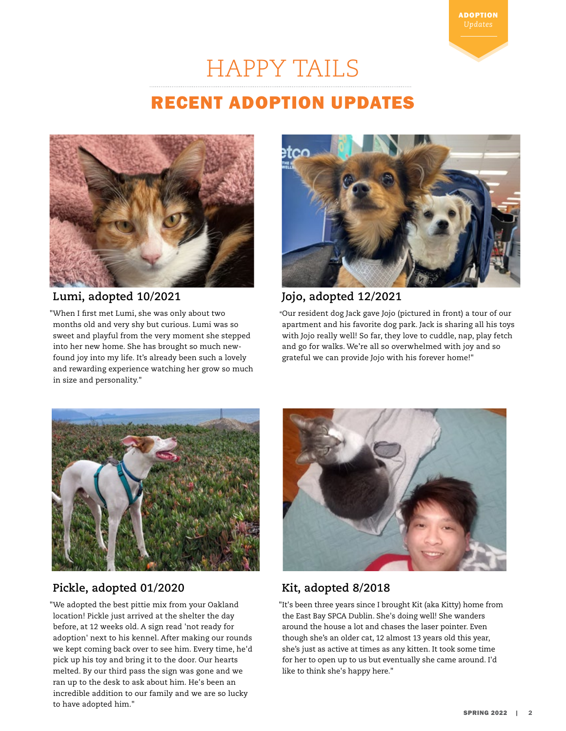

## HAPPY TAILS

## RECENT ADOPTION UPDATES



### **Lumi, adopted 10/2021**

"When I first met Lumi, she was only about two months old and very shy but curious. Lumi was so sweet and playful from the very moment she stepped into her new home. She has brought so much newfound joy into my life. It's already been such a lovely and rewarding experience watching her grow so much in size and personality."



### **Jojo, adopted 12/2021**

**"**Our resident dog Jack gave Jojo (pictured in front) a tour of our apartment and his favorite dog park. Jack is sharing all his toys with Jojo really well! So far, they love to cuddle, nap, play fetch and go for walks. We're all so overwhelmed with joy and so grateful we can provide Jojo with his forever home!"



## **Pickle, adopted 01/2020**

"We adopted the best pittie mix from your Oakland location! Pickle just arrived at the shelter the day before, at 12 weeks old. A sign read 'not ready for adoption' next to his kennel. After making our rounds we kept coming back over to see him. Every time, he'd pick up his toy and bring it to the door. Our hearts melted. By our third pass the sign was gone and we ran up to the desk to ask about him. He's been an incredible addition to our family and we are so lucky to have adopted him."



## **Kit, adopted 8/2018**

"It's been three years since I brought Kit (aka Kitty) home from the East Bay SPCA Dublin. She's doing well! She wanders around the house a lot and chases the laser pointer. Even though she's an older cat, 12 almost 13 years old this year, she's just as active at times as any kitten. It took some time for her to open up to us but eventually she came around. I'd like to think she's happy here."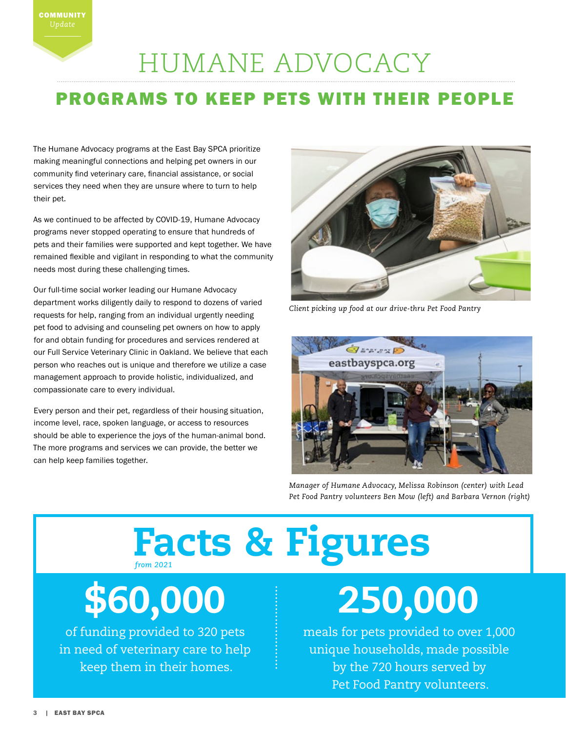## HUMANE ADVOCACY

## PROGRAMS TO KEEP PETS WITH THEIR PEOPLE

The Humane Advocacy programs at the East Bay SPCA prioritize making meaningful connections and helping pet owners in our community find veterinary care, financial assistance, or social services they need when they are unsure where to turn to help their pet.

As we continued to be affected by COVID-19, Humane Advocacy programs never stopped operating to ensure that hundreds of pets and their families were supported and kept together. We have remained flexible and vigilant in responding to what the community needs most during these challenging times.

Our full-time social worker leading our Humane Advocacy department works diligently daily to respond to dozens of varied requests for help, ranging from an individual urgently needing pet food to advising and counseling pet owners on how to apply for and obtain funding for procedures and services rendered at our Full Service Veterinary Clinic in Oakland. We believe that each person who reaches out is unique and therefore we utilize a case management approach to provide holistic, individualized, and compassionate care to every individual.

Every person and their pet, regardless of their housing situation, income level, race, spoken language, or access to resources should be able to experience the joys of the human-animal bond. The more programs and services we can provide, the better we can help keep families together.



*Client picking up food at our drive-thru Pet Food Pantry*



*Manager of Humane Advocacy, Melissa Robinson (center) with Lead Pet Food Pantry volunteers Ben Mow (left) and Barbara Vernon (right)*

## Facts & Figures *from 2021*

## \$60,000

of funding provided to 320 pets in need of veterinary care to help keep them in their homes.

## 250,000

meals for pets provided to over 1,000 unique households, made possible by the 720 hours served by Pet Food Pantry volunteers.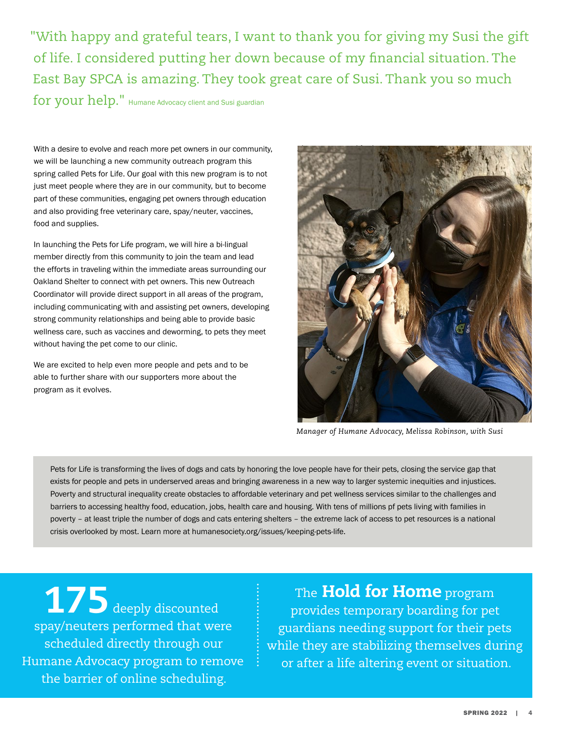"With happy and grateful tears, I want to thank you for giving my Susi the gift of life. I considered putting her down because of my financial situation. The East Bay SPCA is amazing. They took great care of Susi. Thank you so much

for your help." Humane Advocacy client and Susi guardian

With a desire to evolve and reach more pet owners in our community, we will be launching a new community outreach program this spring called Pets for Life. Our goal with this new program is to not just meet people where they are in our community, but to become part of these communities, engaging pet owners through education and also providing free veterinary care, spay/neuter, vaccines, food and supplies.

In launching the Pets for Life program, we will hire a bi-lingual member directly from this community to join the team and lead the efforts in traveling within the immediate areas surrounding our Oakland Shelter to connect with pet owners. This new Outreach Coordinator will provide direct support in all areas of the program, including communicating with and assisting pet owners, developing strong community relationships and being able to provide basic wellness care, such as vaccines and deworming, to pets they meet without having the pet come to our clinic.

We are excited to help even more people and pets and to be able to further share with our supporters more about the program as it evolves.



*Manager of Humane Advocacy, Melissa Robinson, with Susi*

Pets for Life is transforming the lives of dogs and cats by honoring the love people have for their pets, closing the service gap that exists for people and pets in underserved areas and bringing awareness in a new way to larger systemic inequities and injustices. Poverty and structural inequality create obstacles to affordable veterinary and pet wellness services similar to the challenges and barriers to accessing healthy food, education, jobs, health care and housing. With tens of millions pf pets living with families in poverty – at least triple the number of dogs and cats entering shelters – the extreme lack of access to pet resources is a national crisis overlooked by most. Learn more at humanesociety.org/issues/keeping-pets-life.

175 deeply discounted spay/neuters performed that were scheduled directly through our Humane Advocacy program to remove the barrier of online scheduling.

The Hold for Home program provides temporary boarding for pet guardians needing support for their pets while they are stabilizing themselves during or after a life altering event or situation.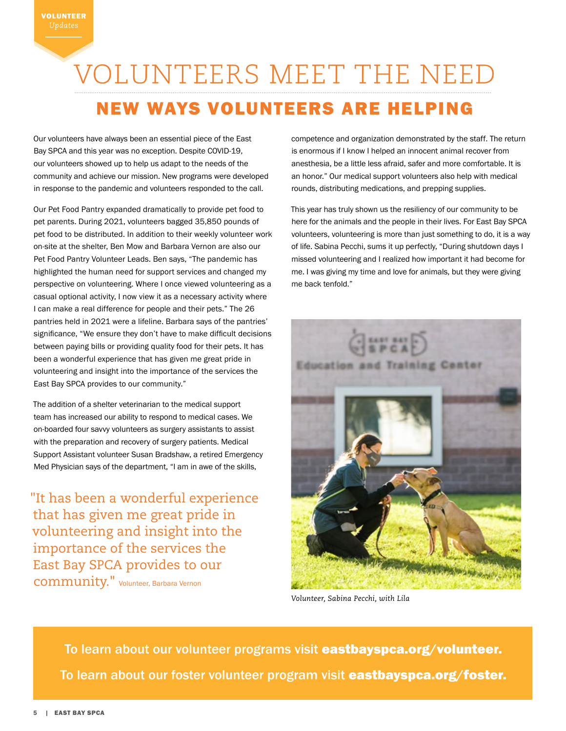## VOLUNTEERS MEET THE NEED NEW WAYS VOLUNTEERS ARE HELPING

Our volunteers have always been an essential piece of the East Bay SPCA and this year was no exception. Despite COVID-19, our volunteers showed up to help us adapt to the needs of the community and achieve our mission. New programs were developed in response to the pandemic and volunteers responded to the call.

Our Pet Food Pantry expanded dramatically to provide pet food to pet parents. During 2021, volunteers bagged 35,850 pounds of pet food to be distributed. In addition to their weekly volunteer work on-site at the shelter, Ben Mow and Barbara Vernon are also our Pet Food Pantry Volunteer Leads. Ben says, "The pandemic has highlighted the human need for support services and changed my perspective on volunteering. Where I once viewed volunteering as a casual optional activity, I now view it as a necessary activity where I can make a real difference for people and their pets." The 26 pantries held in 2021 were a lifeline. Barbara says of the pantries' significance, "We ensure they don't have to make difficult decisions between paying bills or providing quality food for their pets. It has been a wonderful experience that has given me great pride in volunteering and insight into the importance of the services the East Bay SPCA provides to our community."

The addition of a shelter veterinarian to the medical support team has increased our ability to respond to medical cases. We on-boarded four savvy volunteers as surgery assistants to assist with the preparation and recovery of surgery patients. Medical Support Assistant volunteer Susan Bradshaw, a retired Emergency Med Physician says of the department, "I am in awe of the skills,

"It has been a wonderful experience that has given me great pride in volunteering and insight into the importance of the services the East Bay SPCA provides to our community." Volunteer, Barbara Vernon

competence and organization demonstrated by the staff. The return is enormous if I know I helped an innocent animal recover from anesthesia, be a little less afraid, safer and more comfortable. It is an honor." Our medical support volunteers also help with medical rounds, distributing medications, and prepping supplies.

This year has truly shown us the resiliency of our community to be here for the animals and the people in their lives. For East Bay SPCA volunteers, volunteering is more than just something to do, it is a way of life. Sabina Pecchi, sums it up perfectly, "During shutdown days I missed volunteering and I realized how important it had become for me. I was giving my time and love for animals, but they were giving me back tenfold."



*Volunteer, Sabina Pecchi, with Lila*

To learn about our volunteer programs visit eastbayspca.org/volunteer. To learn about our foster volunteer program visit eastbayspca.org/foster.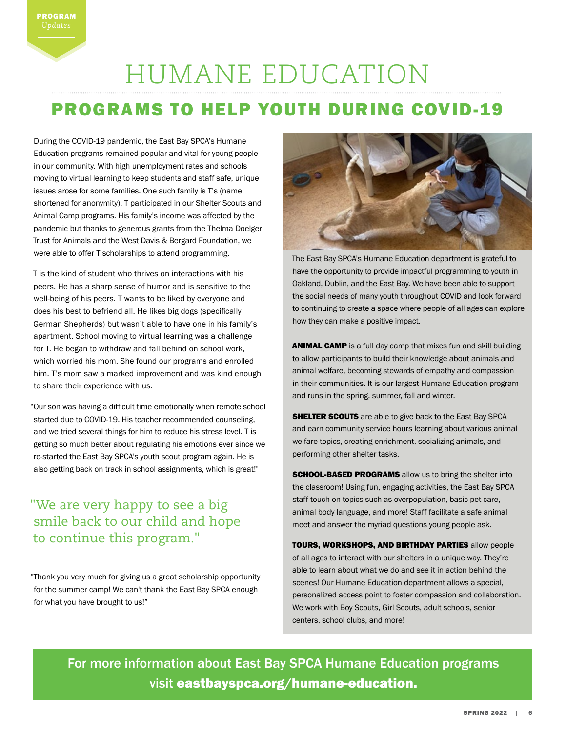## HUMANE EDUCATION

## PROGRAMS TO HELP YOUTH DURING COVID-19

During the COVID-19 pandemic, the East Bay SPCA's Humane Education programs remained popular and vital for young people in our community. With high unemployment rates and schools moving to virtual learning to keep students and staff safe, unique issues arose for some families. One such family is T's (name shortened for anonymity). T participated in our Shelter Scouts and Animal Camp programs. His family's income was affected by the pandemic but thanks to generous grants from the Thelma Doelger Trust for Animals and the West Davis & Bergard Foundation, we were able to offer T scholarships to attend programming.

T is the kind of student who thrives on interactions with his peers. He has a sharp sense of humor and is sensitive to the well-being of his peers. T wants to be liked by everyone and does his best to befriend all. He likes big dogs (specifically German Shepherds) but wasn't able to have one in his family's apartment. School moving to virtual learning was a challenge for T. He began to withdraw and fall behind on school work, which worried his mom. She found our programs and enrolled him. T's mom saw a marked improvement and was kind enough to share their experience with us.

"Our son was having a difficult time emotionally when remote school started due to COVID-19. His teacher recommended counseling, and we tried several things for him to reduce his stress level. T is getting so much better about regulating his emotions ever since we re-started the East Bay SPCA's youth scout program again. He is also getting back on track in school assignments, which is great!"

"We are very happy to see a big smile back to our child and hope to continue this program."

"Thank you very much for giving us a great scholarship opportunity for the summer camp! We can't thank the East Bay SPCA enough for what you have brought to us!"



The East Bay SPCA's Humane Education department is grateful to have the opportunity to provide impactful programming to youth in Oakland, Dublin, and the East Bay. We have been able to support the social needs of many youth throughout COVID and look forward to continuing to create a space where people of all ages can explore how they can make a positive impact.

ANIMAL CAMP is a full day camp that mixes fun and skill building to allow participants to build their knowledge about animals and animal welfare, becoming stewards of empathy and compassion in their communities. It is our largest Humane Education program and runs in the spring, summer, fall and winter.

**SHELTER SCOUTS** are able to give back to the East Bay SPCA and earn community service hours learning about various animal welfare topics, creating enrichment, socializing animals, and performing other shelter tasks.

**SCHOOL-BASED PROGRAMS** allow us to bring the shelter into the classroom! Using fun, engaging activities, the East Bay SPCA staff touch on topics such as overpopulation, basic pet care, animal body language, and more! Staff facilitate a safe animal meet and answer the myriad questions young people ask.

TOURS, WORKSHOPS, AND BIRTHDAY PARTIES allow people of all ages to interact with our shelters in a unique way. They're able to learn about what we do and see it in action behind the scenes! Our Humane Education department allows a special, personalized access point to foster compassion and collaboration. We work with Boy Scouts, Girl Scouts, adult schools, senior centers, school clubs, and more!

For more information about East Bay SPCA Humane Education programs visit eastbayspca.org/humane-education.